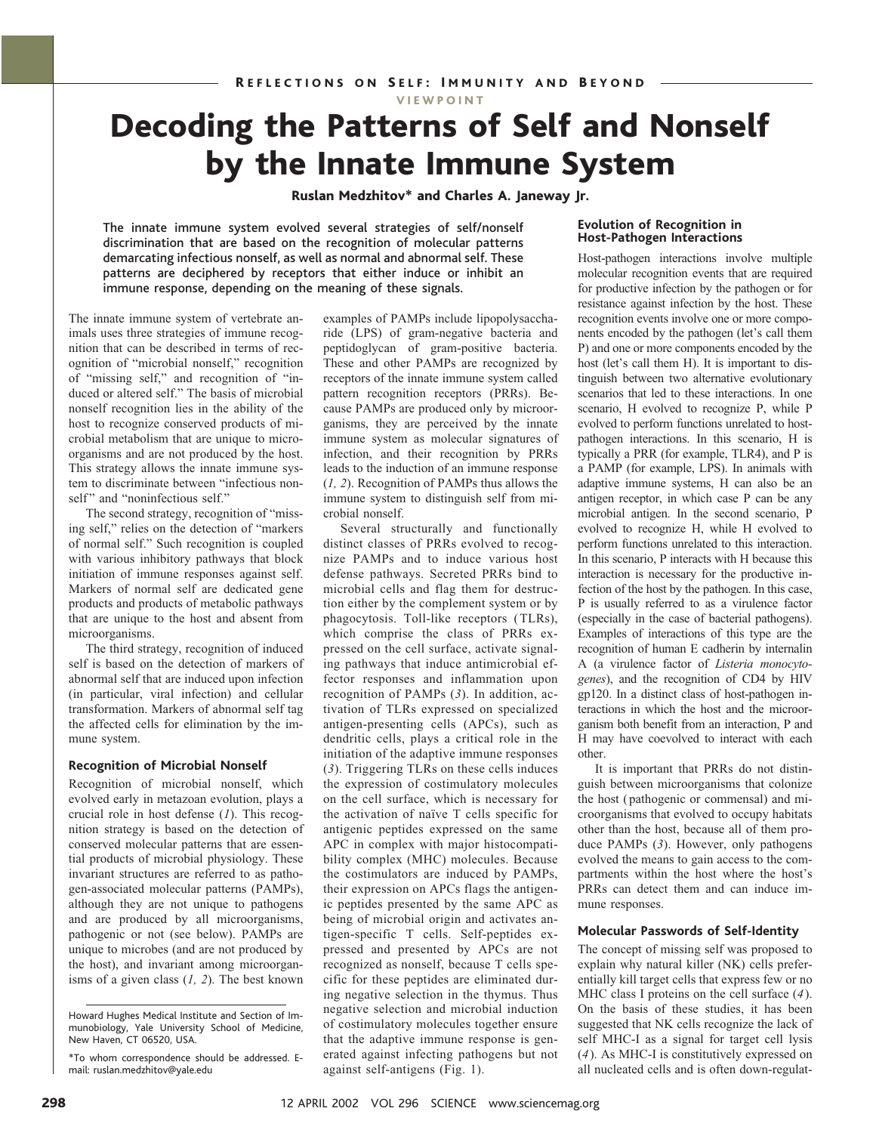REFLECTIONS ON SELF: IMMUNITY AND BEYOND -

VIEWPOINT

# Decoding the Patterns of Self and Nonself by the Innate Immune System

Ruslan Medzhitov\* and Charles A. Janeway Jr.

The innate immune system evolved several strategies of self/nonself discrimination that are based on the recognition of molecular patterns demarcating infectious nonself, as well as normal and abnormal self. These patterns are deciphered by receptors that either induce or inhibit an immune response, depending on the meaning of these signals.

The innate immune system of vertebrate animals uses three strategies of immune recognition that can be described in terms of recognition of "microbial nonself," recognition of "missing self," and recognition of "induced or altered self." The basis of microbial nonself recognition lies in the ability of the host to recognize conserved products of microbial metabolism that are unique to microorganisms and are not produced by the host. This strategy allows the innate immune system to discriminate between "infectious nonself" and "noninfectious self."

The second strategy, recognition of "missing self," relies on the detection of "markers of normal self." Such recognition is coupled with various inhibitory pathways that block initiation of immune responses against self. Markers of normal self are dedicated gene products and products of metabolic pathways that are unique to the host and absent from microorganisms.

The third strategy, recognition of induced self is based on the detection of markers of abnormal self that are induced upon infection (in particular, viral infection) and cellular transformation. Markers of abnormal self tag the affected cells for elimination by the immune system.

#### **Recognition of Microbial Nonself**

Recognition of microbial nonself, which evolved early in metazoan evolution, plays a crucial role in host defense (*1*). This recognition strategy is based on the detection of conserved molecular patterns that are essential products of microbial physiology. These invariant structures are referred to as pathogen-associated molecular patterns (PAMPs), although they are not unique to pathogens and are produced by all microorganisms, pathogenic or not (see below). PAMPs are unique to microbes (and are not produced by the host), and invariant among microorganisms of a given class (*1, 2*). The best known examples of PAMPs include lipopolysaccharide (LPS) of gram-negative bacteria and peptidoglycan of gram-positive bacteria. These and other PAMPs are recognized by receptors of the innate immune system called pattern recognition receptors (PRRs). Because PAMPs are produced only by microorganisms, they are perceived by the innate immune system as molecular signatures of infection, and their recognition by PRRs leads to the induction of an immune response (*1, 2*). Recognition of PAMPs thus allows the immune system to distinguish self from microbial nonself.

Several structurally and functionally distinct classes of PRRs evolved to recognize PAMPs and to induce various host defense pathways. Secreted PRRs bind to microbial cells and flag them for destruction either by the complement system or by phagocytosis. Toll-like receptors (TLRs), which comprise the class of PRRs expressed on the cell surface, activate signaling pathways that induce antimicrobial effector responses and inflammation upon recognition of PAMPs (*3*). In addition, activation of TLRs expressed on specialized antigen-presenting cells (APCs), such as dendritic cells, plays a critical role in the initiation of the adaptive immune responses (*3*). Triggering TLRs on these cells induces the expression of costimulatory molecules on the cell surface, which is necessary for the activation of naïve T cells specific for antigenic peptides expressed on the same APC in complex with major histocompatibility complex (MHC) molecules. Because the costimulators are induced by PAMPs, their expression on APCs flags the antigenic peptides presented by the same APC as being of microbial origin and activates antigen-specific T cells. Self-peptides expressed and presented by APCs are not recognized as nonself, because T cells specific for these peptides are eliminated during negative selection in the thymus. Thus negative selection and microbial induction of costimulatory molecules together ensure that the adaptive immune response is generated against infecting pathogens but not against self-antigens (Fig. 1).

#### **Evolution of Recognition in Host-Pathogen Interactions**

Host-pathogen interactions involve multiple molecular recognition events that are required for productive infection by the pathogen or for resistance against infection by the host. These recognition events involve one or more components encoded by the pathogen (let's call them P) and one or more components encoded by the host (let's call them H). It is important to distinguish between two alternative evolutionary scenarios that led to these interactions. In one scenario, H evolved to recognize P, while P evolved to perform functions unrelated to hostpathogen interactions. In this scenario, H is typically a PRR (for example, TLR4), and P is a PAMP (for example, LPS). In animals with adaptive immune systems, H can also be an antigen receptor, in which case P can be any microbial antigen. In the second scenario, P evolved to recognize H, while H evolved to perform functions unrelated to this interaction. In this scenario, P interacts with H because this interaction is necessary for the productive infection of the host by the pathogen. In this case, P is usually referred to as a virulence factor (especially in the case of bacterial pathogens). Examples of interactions of this type are the recognition of human E cadherin by internalin A (a virulence factor of *Listeria monocytogenes*), and the recognition of CD4 by HIV gp120. In a distinct class of host-pathogen interactions in which the host and the microorganism both benefit from an interaction, P and H may have coevolved to interact with each other.

It is important that PRRs do not distinguish between microorganisms that colonize the host (pathogenic or commensal) and microorganisms that evolved to occupy habitats other than the host, because all of them produce PAMPs (*3*). However, only pathogens evolved the means to gain access to the compartments within the host where the host's PRRs can detect them and can induce immune responses.

## **Molecular Passwords of Self-Identity**

The concept of missing self was proposed to explain why natural killer (NK) cells preferentially kill target cells that express few or no MHC class I proteins on the cell surface (*4*). On the basis of these studies, it has been suggested that NK cells recognize the lack of self MHC-I as a signal for target cell lysis (*4*). As MHC-I is constitutively expressed on all nucleated cells and is often down-regulat-

Howard Hughes Medical Institute and Section of Immunobiology, Yale University School of Medicine, New Haven, CT 06520, USA.

<sup>\*</sup>To whom correspondence should be addressed. Email: ruslan.medzhitov@yale.edu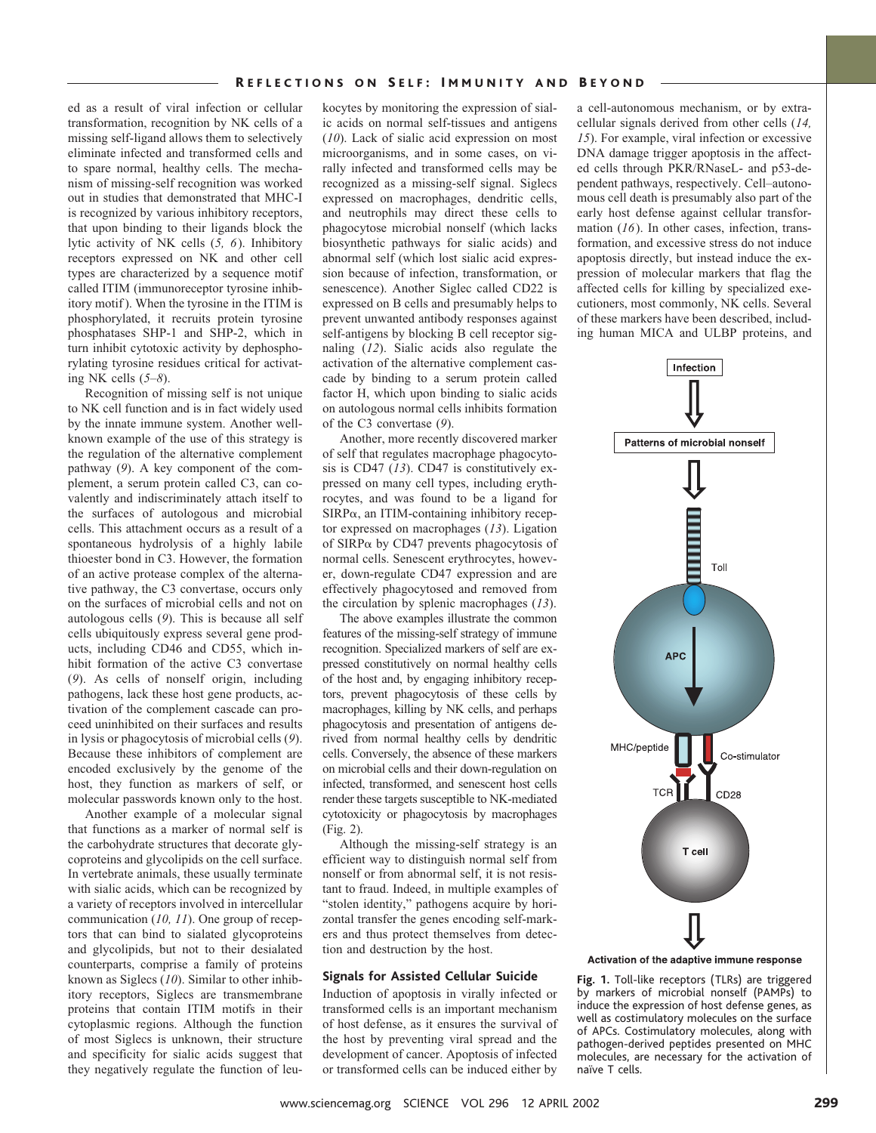ed as a result of viral infection or cellular transformation, recognition by NK cells of a missing self-ligand allows them to selectively eliminate infected and transformed cells and to spare normal, healthy cells. The mechanism of missing-self recognition was worked out in studies that demonstrated that MHC-I is recognized by various inhibitory receptors, that upon binding to their ligands block the lytic activity of NK cells (*5, 6*). Inhibitory receptors expressed on NK and other cell types are characterized by a sequence motif called ITIM (immunoreceptor tyrosine inhibitory motif ). When the tyrosine in the ITIM is phosphorylated, it recruits protein tyrosine phosphatases SHP-1 and SHP-2, which in turn inhibit cytotoxic activity by dephosphorylating tyrosine residues critical for activating NK cells (*5*–*8*).

Recognition of missing self is not unique to NK cell function and is in fact widely used by the innate immune system. Another wellknown example of the use of this strategy is the regulation of the alternative complement pathway (*9*). A key component of the complement, a serum protein called C3, can covalently and indiscriminately attach itself to the surfaces of autologous and microbial cells. This attachment occurs as a result of a spontaneous hydrolysis of a highly labile thioester bond in C3. However, the formation of an active protease complex of the alternative pathway, the C3 convertase, occurs only on the surfaces of microbial cells and not on autologous cells (*9*). This is because all self cells ubiquitously express several gene products, including CD46 and CD55, which inhibit formation of the active C3 convertase (*9*). As cells of nonself origin, including pathogens, lack these host gene products, activation of the complement cascade can proceed uninhibited on their surfaces and results in lysis or phagocytosis of microbial cells (*9*). Because these inhibitors of complement are encoded exclusively by the genome of the host, they function as markers of self, or molecular passwords known only to the host.

Another example of a molecular signal that functions as a marker of normal self is the carbohydrate structures that decorate glycoproteins and glycolipids on the cell surface. In vertebrate animals, these usually terminate with sialic acids, which can be recognized by a variety of receptors involved in intercellular communication (*10, 11*). One group of receptors that can bind to sialated glycoproteins and glycolipids, but not to their desialated counterparts, comprise a family of proteins known as Siglecs (*10*). Similar to other inhibitory receptors, Siglecs are transmembrane proteins that contain ITIM motifs in their cytoplasmic regions. Although the function of most Siglecs is unknown, their structure and specificity for sialic acids suggest that they negatively regulate the function of leukocytes by monitoring the expression of sialic acids on normal self-tissues and antigens (*10*). Lack of sialic acid expression on most microorganisms, and in some cases, on virally infected and transformed cells may be recognized as a missing-self signal. Siglecs expressed on macrophages, dendritic cells, and neutrophils may direct these cells to phagocytose microbial nonself (which lacks biosynthetic pathways for sialic acids) and abnormal self (which lost sialic acid expression because of infection, transformation, or senescence). Another Siglec called CD22 is expressed on B cells and presumably helps to prevent unwanted antibody responses against self-antigens by blocking B cell receptor signaling (*12*). Sialic acids also regulate the activation of the alternative complement cascade by binding to a serum protein called factor H, which upon binding to sialic acids on autologous normal cells inhibits formation of the C3 convertase (*9*).

Another, more recently discovered marker of self that regulates macrophage phagocytosis is CD47 (*13*). CD47 is constitutively expressed on many cell types, including erythrocytes, and was found to be a ligand for  $SIRP\alpha$ , an ITIM-containing inhibitory receptor expressed on macrophages (*13*). Ligation of SIRPa by CD47 prevents phagocytosis of normal cells. Senescent erythrocytes, however, down-regulate CD47 expression and are effectively phagocytosed and removed from the circulation by splenic macrophages (*13*).

The above examples illustrate the common features of the missing-self strategy of immune recognition. Specialized markers of self are expressed constitutively on normal healthy cells of the host and, by engaging inhibitory receptors, prevent phagocytosis of these cells by macrophages, killing by NK cells, and perhaps phagocytosis and presentation of antigens derived from normal healthy cells by dendritic cells. Conversely, the absence of these markers on microbial cells and their down-regulation on infected, transformed, and senescent host cells render these targets susceptible to NK-mediated cytotoxicity or phagocytosis by macrophages (Fig. 2).

Although the missing-self strategy is an efficient way to distinguish normal self from nonself or from abnormal self, it is not resistant to fraud. Indeed, in multiple examples of "stolen identity," pathogens acquire by horizontal transfer the genes encoding self-markers and thus protect themselves from detection and destruction by the host.

### **Signals for Assisted Cellular Suicide**

Induction of apoptosis in virally infected or transformed cells is an important mechanism of host defense, as it ensures the survival of the host by preventing viral spread and the development of cancer. Apoptosis of infected or transformed cells can be induced either by

a cell-autonomous mechanism, or by extracellular signals derived from other cells (*14, 15*). For example, viral infection or excessive DNA damage trigger apoptosis in the affected cells through PKR/RNaseL- and p53-dependent pathways, respectively. Cell–autonomous cell death is presumably also part of the early host defense against cellular transformation (*16*). In other cases, infection, transformation, and excessive stress do not induce apoptosis directly, but instead induce the expression of molecular markers that flag the affected cells for killing by specialized executioners, most commonly, NK cells. Several of these markers have been described, including human MICA and ULBP proteins, and



Activation of the adaptive immune response

**Fig. 1.** Toll-like receptors (TLRs) are triggered by markers of microbial nonself (PAMPs) to induce the expression of host defense genes, as well as costimulatory molecules on the surface of APCs. Costimulatory molecules, along with pathogen-derived peptides presented on MHC molecules, are necessary for the activation of naïve T cells.